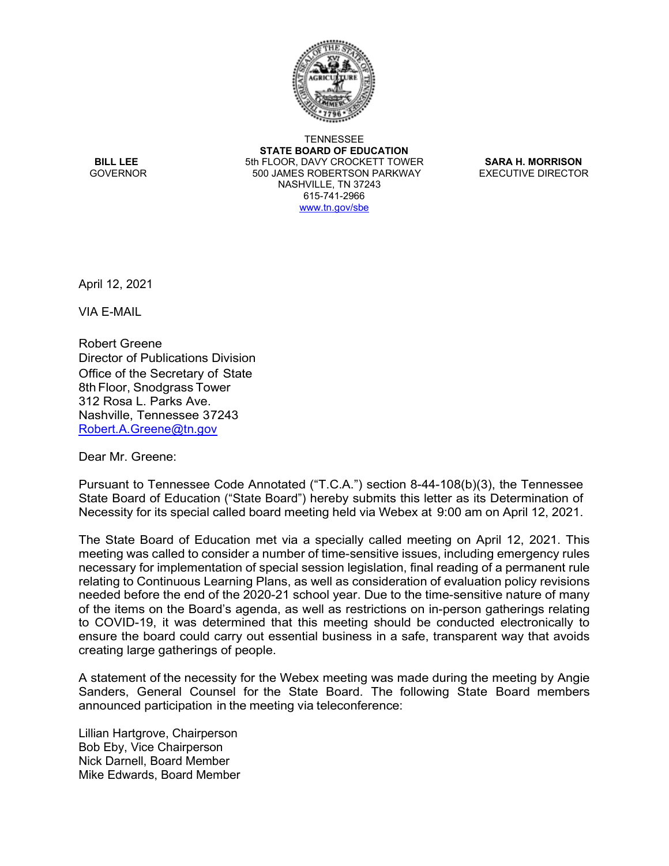

**TENNESSEE STATE BOARD OF EDUCATION BILL LEE** 5th FLOOR, DAVY CROCKETT TOWER **SARA H. MORRISON** 500 JAMES ROBERTSON PARKWAY NASHVILLE, TN 37243 615-741-2966 [www.tn.gov/sbe](http://www.tn.gov/sbe)

April 12, 2021

VIA E-MAIL

Robert Greene Director of Publications Division Office of the Secretary of State 8th Floor, Snodgrass Tower 312 Rosa L. Parks Ave. Nashville, Tennessee 37243 [Robert.A.Greene@tn.gov](mailto:Robert.A.Greene@tn.gov)

Dear Mr. Greene:

Pursuant to Tennessee Code Annotated ("T.C.A.") section 8-44-108(b)(3), the Tennessee State Board of Education ("State Board") hereby submits this letter as its Determination of Necessity for its special called board meeting held via Webex at 9:00 am on April 12, 2021.

The State Board of Education met via a specially called meeting on April 12, 2021. This meeting was called to consider a number of time-sensitive issues, including emergency rules necessary for implementation of special session legislation, final reading of a permanent rule relating to Continuous Learning Plans, as well as consideration of evaluation policy revisions needed before the end of the 2020-21 school year. Due to the time-sensitive nature of many of the items on the Board's agenda, as well as restrictions on in-person gatherings relating to COVID-19, it was determined that this meeting should be conducted electronically to ensure the board could carry out essential business in a safe, transparent way that avoids creating large gatherings of people.

A statement of the necessity for the Webex meeting was made during the meeting by Angie Sanders, General Counsel for the State Board. The following State Board members announced participation in the meeting via teleconference:

Lillian Hartgrove, Chairperson Bob Eby, Vice Chairperson Nick Darnell, Board Member Mike Edwards, Board Member